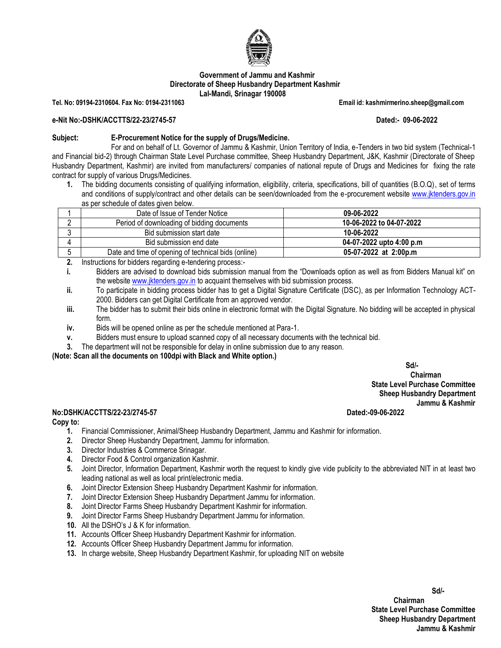

#### **Government of Jammu and Kashmir Directorate of Sheep Husbandry Department Kashmir Lal-Mandi, Srinagar 190008**

**Tel. No: 09194-2310604. Fax No: 0194-2311063 Email id: kashmirmerino.sheep@gmail.com** 

#### **e-Nit No:-DSHK/ACCTTS/22-23/2745-57 Dated:- 09-06-2022**

#### **Subject: E-Procurement Notice for the supply of Drugs/Medicine.**

For and on behalf of Lt. Governor of Jammu & Kashmir, Union Territory of India, e-Tenders in two bid system (Technical-1 and Financial bid-2) through Chairman State Level Purchase committee, Sheep Husbandry Department, J&K, Kashmir (Directorate of Sheep Husbandry Department, Kashmir) are invited from manufacturers/ companies of national repute of Drugs and Medicines for fixing the rate contract for supply of various Drugs/Medicines.

**1.** The bidding documents consisting of qualifying information, eligibility, criteria, specifications, bill of quantities (B.O.Q), set of terms and conditions of supply/contract and other details can be seen/downloaded from the e-procurement website [www.jktenders.gov.in](http://www.jktenders.gov.in/) as per schedule of dates given below.

|          | Date of Issue of Tender Notice                      | 09-06-2022               |
|----------|-----------------------------------------------------|--------------------------|
| <u>.</u> | Period of downloading of bidding documents          | 10-06-2022 to 04-07-2022 |
|          | Bid submission start date                           | 10-06-2022               |
|          | Bid submission end date                             | 04-07-2022 upto 4:00 p.m |
|          | Date and time of opening of technical bids (online) | 05-07-2022 at 2:00p.m    |

**2.** Instructions for bidders regarding e-tendering process:-

**i.** Bidders are advised to download bids submission manual from the "Downloads option as well as from Bidders Manual kit" on the websit[e www.jktenders.gov.in](http://www.jktenders.gov.in/) to acquaint themselves with bid submission process.

- **ii.** To participate in bidding process bidder has to get a Digital Signature Certificate (DSC), as per Information Technology ACT-2000. Bidders can get Digital Certificate from an approved vendor.
- **iii.** The bidder has to submit their bids online in electronic format with the Digital Signature. No bidding will be accepted in physical form.
- **iv.** Bids will be opened online as per the schedule mentioned at Para-1.
- **v.** Bidders must ensure to upload scanned copy of all necessary documents with the technical bid.
- **3.** The department will not be responsible for delay in online submission due to any reason.

**(Note: Scan all the documents on 100dpi with Black and White option.)**

**Sd/-**

 **Chairman State Level Purchase Committee**

**Sheep Husbandry Department Jammu & Kashmir**

#### **No:DSHK/ACCTTS/22-23/2745-57 Dated:-09-06-2022**

#### **Copy to:**

- **1.** Financial Commissioner, Animal/Sheep Husbandry Department, Jammu and Kashmir for information.
- **2.** Director Sheep Husbandry Department, Jammu for information.
- **3.** Director Industries & Commerce Srinagar.
- **4.** Director Food & Control organization Kashmir.
- **5.** Joint Director, Information Department, Kashmir worth the request to kindly give vide publicity to the abbreviated NIT in at least two leading national as well as local print/electronic media.
- **6.** Joint Director Extension Sheep Husbandry Department Kashmir for information.
- **7.** Joint Director Extension Sheep Husbandry Department Jammu for information.
- **8.** Joint Director Farms Sheep Husbandry Department Kashmir for information.
- **9.** Joint Director Farms Sheep Husbandry Department Jammu for information.
- **10.** All the DSHO's J & K for information.
- **11.** Accounts Officer Sheep Husbandry Department Kashmir for information.
- **12.** Accounts Officer Sheep Husbandry Department Jammu for information.
- **13.** In charge website, Sheep Husbandry Department Kashmir, for uploading NIT on website

**Sd/-**  *Chairman* **State Level Purchase Committee Sheep Husbandry Department Jammu & Kashmir**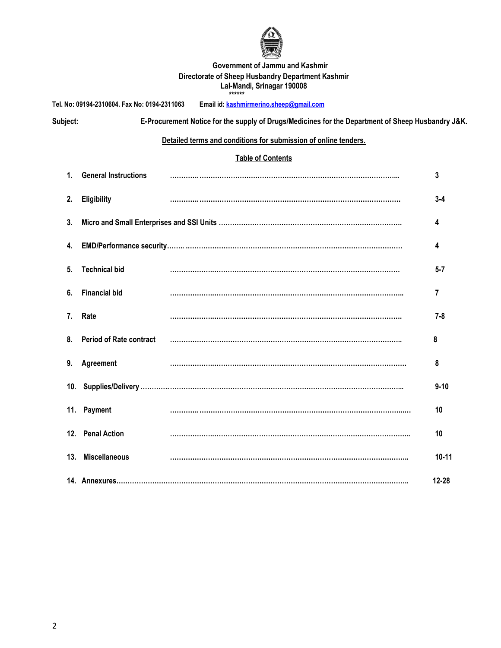

#### **Government of Jammu and Kashmir Directorate of Sheep Husbandry Department Kashmir Lal-Mandi, Srinagar 190008 \*\*\*\*\*\***

**Tel. No: 09194-2310604. Fax No: 0194-2311063 Email id[: kashmirmerino.sheep@gmail.com](mailto:kashmirmerino.sheep@gmail.com)**

**Subject: E-Procurement Notice for the supply of Drugs/Medicines for the Department of Sheep Husbandry J&K.**

### **Detailed terms and conditions for submission of online tenders.**

## **Table of Contents**

|    | 1. General Instructions    | 3         |
|----|----------------------------|-----------|
| 2. | Eligibility                | $3 - 4$   |
| 3. |                            | 4         |
|    |                            | 4         |
| 5. | <b>Technical bid</b>       | $5 - 7$   |
| 6. | <b>Financial bid</b>       | 7         |
| 7. | Rate                       | $7 - 8$   |
|    | 8. Period of Rate contract | 8         |
|    | 9. Agreement               | 8         |
|    |                            | $9 - 10$  |
|    | 11. Payment                | 10        |
|    | 12. Penal Action           | 10        |
|    | 13. Miscellaneous          | $10 - 11$ |
|    |                            | $12 - 28$ |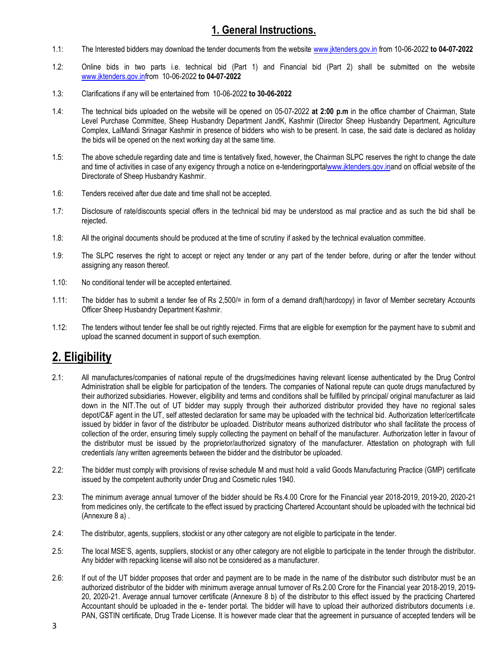## **1. General Instructions.**

- 1.1: The Interested bidders may download the tender documents from the website [www.jktenders.gov.in](http://www.jktenders.gov.in/) from 10-06-2022 **to 04-07-2022**
- 1.2: Online bids in two parts i.e. technical bid (Part 1) and Financial bid (Part 2) shall be submitted on the website [www.jktenders.gov.infr](http://www.jktenders.gov.in/)om 10-06-2022 **to 04-07-2022**
- 1.3: Clarifications if any will be entertained from 10-06-2022 **to 30-06-2022**
- 1.4: The technical bids uploaded on the website will be opened on 05-07-2022 **at 2:00 p.m** in the office chamber of Chairman, State Level Purchase Committee, Sheep Husbandry Department JandK, Kashmir (Director Sheep Husbandry Department, Agriculture Complex, LalMandi Srinagar Kashmir in presence of bidders who wish to be present. In case, the said date is declared as holiday the bids will be opened on the next working day at the same time.
- 1.5: The above schedule regarding date and time is tentatively fixed, however, the Chairman SLPC reserves the right to change the date and time of activities in case of any exigency through a notice on e-tenderingport[alwww.jktenders.gov.ina](http://www.jktenders.gov.in/)nd on official website of the Directorate of Sheep Husbandry Kashmir.
- 1.6: Tenders received after due date and time shall not be accepted.
- 1.7: Disclosure of rate/discounts special offers in the technical bid may be understood as mal practice and as such the bid shall be rejected.
- 1.8: All the original documents should be produced at the time of scrutiny if asked by the technical evaluation committee.
- 1.9: The SLPC reserves the right to accept or reject any tender or any part of the tender before, during or after the tender without assigning any reason thereof.
- 1.10: No conditional tender will be accepted entertained.
- 1.11: The bidder has to submit a tender fee of Rs 2,500/= in form of a demand draft(hardcopy) in favor of Member secretary Accounts Officer Sheep Husbandry Department Kashmir.
- 1.12: The tenders without tender fee shall be out rightly rejected. Firms that are eligible for exemption for the payment have to submit and upload the scanned document in support of such exemption.

# **2. Eligibility**

- 2.1: All manufactures/companies of national repute of the drugs/medicines having relevant license authenticated by the Drug Control Administration shall be eligible for participation of the tenders. The companies of National repute can quote drugs manufactured by their authorized subsidiaries. However, eligibility and terms and conditions shall be fulfilled by principal/ original manufacturer as laid down in the NIT.The out of UT bidder may supply through their authorized distributor provided they have no regional sales depot/C&F agent in the UT, self attested declaration for same may be uploaded with the technical bid. Authorization letter/certificate issued by bidder in favor of the distributor be uploaded. Distributor means authorized distributor who shall facilitate the process of collection of the order, ensuring timely supply collecting the payment on behalf of the manufacturer. Authorization letter in favour of the distributor must be issued by the proprietor/authorized signatory of the manufacturer. Attestation on photograph with full credentials /any written agreements between the bidder and the distributor be uploaded.
- 2.2: The bidder must comply with provisions of revise schedule M and must hold a valid Goods Manufacturing Practice (GMP) certificate issued by the competent authority under Drug and Cosmetic rules 1940.
- 2.3: The minimum average annual turnover of the bidder should be Rs.4.00 Crore for the Financial year 2018-2019, 2019-20, 2020-21 from medicines only, the certificate to the effect issued by practicing Chartered Accountant should be uploaded with the technical bid (Annexure 8 a) .
- 2.4: The distributor, agents, suppliers, stockist or any other category are not eligible to participate in the tender.
- 2.5: The local MSE'S, agents, suppliers, stockist or any other category are not eligible to participate in the tender through the distributor. Any bidder with repacking license will also not be considered as a manufacturer.
- 2.6: If out of the UT bidder proposes that order and payment are to be made in the name of the distributor such distributor must be an authorized distributor of the bidder with minimum average annual turnover of Rs.2.00 Crore for the Financial year 2018-2019, 2019- 20, 2020-21. Average annual turnover certificate (Annexure 8 b) of the distributor to this effect issued by the practicing Chartered Accountant should be uploaded in the e- tender portal. The bidder will have to upload their authorized distributors documents i.e. PAN, GSTIN certificate, Drug Trade License. It is however made clear that the agreement in pursuance of accepted tenders will be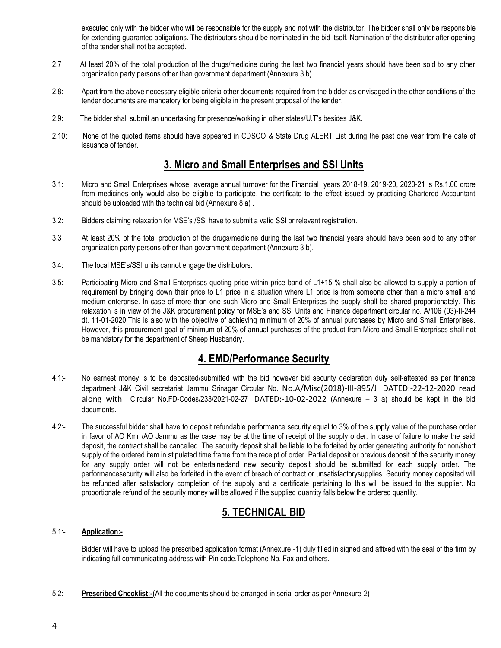executed only with the bidder who will be responsible for the supply and not with the distributor. The bidder shall only be responsible for extending guarantee obligations. The distributors should be nominated in the bid itself. Nomination of the distributor after opening of the tender shall not be accepted.

- 2.7 At least 20% of the total production of the drugs/medicine during the last two financial years should have been sold to any other organization party persons other than government department (Annexure 3 b).
- 2.8: Apart from the above necessary eligible criteria other documents required from the bidder as envisaged in the other conditions of the tender documents are mandatory for being eligible in the present proposal of the tender.
- 2.9: The bidder shall submit an undertaking for presence/working in other states/U.T's besides J&K.
- 2.10: None of the quoted items should have appeared in CDSCO & State Drug ALERT List during the past one year from the date of issuance of tender.

## **3. Micro and Small Enterprises and SSI Units**

- 3.1: Micro and Small Enterprises whose average annual turnover for the Financial years 2018-19, 2019-20, 2020-21 is Rs.1.00 crore from medicines only would also be eligible to participate, the certificate to the effect issued by practicing Chartered Accountant should be uploaded with the technical bid (Annexure 8 a) .
- 3.2: Bidders claiming relaxation for MSE's /SSI have to submit a valid SSI or relevant registration.
- 3.3 At least 20% of the total production of the drugs/medicine during the last two financial years should have been sold to any other organization party persons other than government department (Annexure 3 b).
- 3.4: The local MSE's/SSI units cannot engage the distributors.
- 3.5: Participating Micro and Small Enterprises quoting price within price band of L1+15 % shall also be allowed to supply a portion of requirement by bringing down their price to L1 price in a situation where L1 price is from someone other than a micro small and medium enterprise. In case of more than one such Micro and Small Enterprises the supply shall be shared proportionately. This relaxation is in view of the J&K procurement policy for MSE's and SSI Units and Finance department circular no. A/106 (03)-II-244 dt. 11-01-2020.This is also with the objective of achieving minimum of 20% of annual purchases by Micro and Small Enterprises. However, this procurement goal of minimum of 20% of annual purchases of the product from Micro and Small Enterprises shall not be mandatory for the department of Sheep Husbandry.

## **4. EMD/Performance Security**

- 4.1:- No earnest money is to be deposited/submitted with the bid however bid security declaration duly self-attested as per finance department J&K Civil secretariat Jammu Srinagar Circular No. No.A/Misc(2018)-III-895/J DATED:-22-12-2020 read along with Circular No.FD-Codes/233/2021-02-27 DATED:-10-02-2022 (Annexure – 3 a) should be kept in the bid documents.
- 4.2:- The successful bidder shall have to deposit refundable performance security equal to 3% of the supply value of the purchase order in favor of AO Kmr /AO Jammu as the case may be at the time of receipt of the supply order. In case of failure to make the said deposit, the contract shall be cancelled. The security deposit shall be liable to be forfeited by order generating authority for non/short supply of the ordered item in stipulated time frame from the receipt of order. Partial deposit or previous deposit of the security money for any supply order will not be entertainedand new security deposit should be submitted for each supply order. The performancesecurity will also be forfeited in the event of breach of contract or unsatisfactorysupplies. Security money deposited will be refunded after satisfactory completion of the supply and a certificate pertaining to this will be issued to the supplier. No proportionate refund of the security money will be allowed if the supplied quantity falls below the ordered quantity.

# **5. TECHNICAL BID**

### 5.1:- **Application:-**

Bidder will have to upload the prescribed application format (Annexure -1) duly filled in signed and affixed with the seal of the firm by indicating full communicating address with Pin code,Telephone No, Fax and others.

5.2:- **Prescribed Checklist:-**(All the documents should be arranged in serial order as per Annexure-2)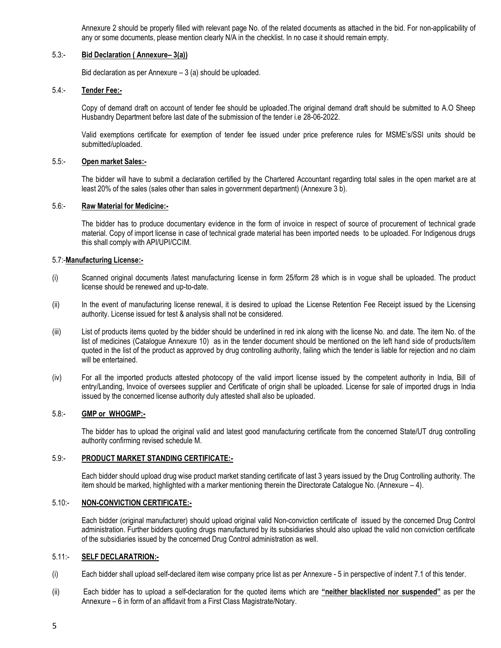Annexure 2 should be properly filled with relevant page No. of the related documents as attached in the bid. For non-applicability of any or some documents, please mention clearly N/A in the checklist. In no case it should remain empty.

#### 5.3:- **Bid Declaration ( Annexure– 3(a))**

Bid declaration as per Annexure – 3 (a) should be uploaded.

#### 5.4:- **Tender Fee:-**

Copy of demand draft on account of tender fee should be uploaded.The original demand draft should be submitted to A.O Sheep Husbandry Department before last date of the submission of the tender i.e 28-06-2022.

Valid exemptions certificate for exemption of tender fee issued under price preference rules for MSME's/SSI units should be submitted/uploaded.

#### 5.5:- **Open market Sales:-**

The bidder will have to submit a declaration certified by the Chartered Accountant regarding total sales in the open market are at least 20% of the sales (sales other than sales in government department) (Annexure 3 b).

#### 5.6:- **Raw Material for Medicine:-**

The bidder has to produce documentary evidence in the form of invoice in respect of source of procurement of technical grade material. Copy of import license in case of technical grade material has been imported needs to be uploaded. For Indigenous drugs this shall comply with API/UPI/CCIM.

#### 5.7:-**Manufacturing License:-**

- (i) Scanned original documents /latest manufacturing license in form 25/form 28 which is in vogue shall be uploaded. The product license should be renewed and up-to-date.
- (ii) In the event of manufacturing license renewal, it is desired to upload the License Retention Fee Receipt issued by the Licensing authority. License issued for test & analysis shall not be considered.
- (iii) List of products items quoted by the bidder should be underlined in red ink along with the license No. and date. The item No. of the list of medicines (Catalogue Annexure 10) as in the tender document should be mentioned on the left hand side of products/item quoted in the list of the product as approved by drug controlling authority, failing which the tender is liable for rejection and no claim will be entertained.
- (iv) For all the imported products attested photocopy of the valid import license issued by the competent authority in India, Bill of entry/Landing, Invoice of oversees supplier and Certificate of origin shall be uploaded. License for sale of imported drugs in India issued by the concerned license authority duly attested shall also be uploaded.

#### 5.8:- **GMP or WHOGMP:-**

The bidder has to upload the original valid and latest good manufacturing certificate from the concerned State/UT drug controlling authority confirming revised schedule M.

#### 5.9:- **PRODUCT MARKET STANDING CERTIFICATE:-**

Each bidder should upload drug wise product market standing certificate of last 3 years issued by the Drug Controlling authority. The item should be marked, highlighted with a marker mentioning therein the Directorate Catalogue No. (Annexure – 4).

#### 5.10:- **NON-CONVICTION CERTIFICATE:-**

Each bidder (original manufacturer) should upload original valid Non-conviction certificate of issued by the concerned Drug Control administration. Further bidders quoting drugs manufactured by its subsidiaries should also upload the valid non conviction certificate of the subsidiaries issued by the concerned Drug Control administration as well.

#### 5.11:- **SELF DECLARATRION:-**

- (i) Each bidder shall upload self-declared item wise company price list as per Annexure 5 in perspective of indent 7.1 of this tender.
- (ii) Each bidder has to upload a self-declaration for the quoted items which are **"neither blacklisted nor suspended"** as per the Annexure – 6 in form of an affidavit from a First Class Magistrate/Notary.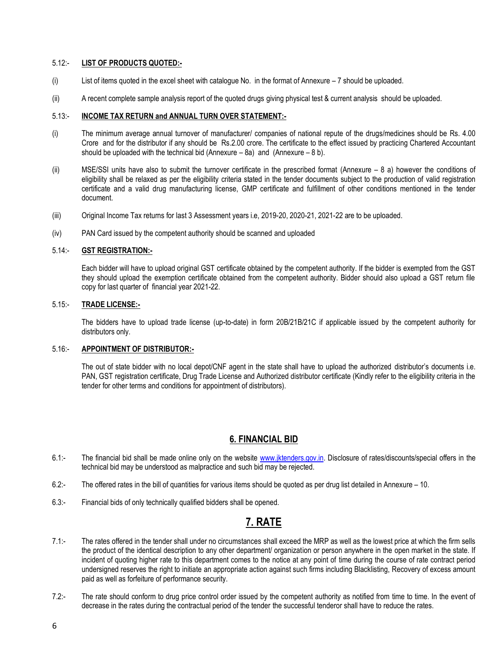#### 5.12:- **LIST OF PRODUCTS QUOTED:-**

- (i) List of items quoted in the excel sheet with catalogue No. in the format of Annexure 7 should be uploaded.
- (ii) A recent complete sample analysis report of the quoted drugs giving physical test & current analysis should be uploaded.

#### 5.13:- **INCOME TAX RETURN and ANNUAL TURN OVER STATEMENT:-**

- (i) The minimum average annual turnover of manufacturer/ companies of national repute of the drugs/medicines should be Rs. 4.00 Crore and for the distributor if any should be Rs.2.00 crore. The certificate to the effect issued by practicing Chartered Accountant should be uploaded with the technical bid (Annexure  $-$  8a) and (Annexure  $-$  8 b).
- (ii) MSE/SSI units have also to submit the turnover certificate in the prescribed format (Annexure 8 a) however the conditions of eligibility shall be relaxed as per the eligibility criteria stated in the tender documents subject to the production of valid registration certificate and a valid drug manufacturing license, GMP certificate and fulfillment of other conditions mentioned in the tender document.
- (iii) Original Income Tax returns for last 3 Assessment years i.e, 2019-20, 2020-21, 2021-22 are to be uploaded.
- (iv) PAN Card issued by the competent authority should be scanned and uploaded

#### 5.14:- **GST REGISTRATION:-**

Each bidder will have to upload original GST certificate obtained by the competent authority. If the bidder is exempted from the GST they should upload the exemption certificate obtained from the competent authority. Bidder should also upload a GST return file copy for last quarter of financial year 2021-22.

#### 5.15:- **TRADE LICENSE:-**

The bidders have to upload trade license (up-to-date) in form 20B/21B/21C if applicable issued by the competent authority for distributors only.

#### 5.16:- **APPOINTMENT OF DISTRIBUTOR:-**

The out of state bidder with no local depot/CNF agent in the state shall have to upload the authorized distributor's documents i.e. PAN, GST registration certificate, Drug Trade License and Authorized distributor certificate (Kindly refer to the eligibility criteria in the tender for other terms and conditions for appointment of distributors).

## **6. FINANCIAL BID**

- 6.1:- The financial bid shall be made online only on the website [www.jktenders.gov.in.](http://www.jktenders.gov.in/) Disclosure of rates/discounts/special offers in the technical bid may be understood as malpractice and such bid may be rejected.
- 6.2:- The offered rates in the bill of quantities for various items should be quoted as per drug list detailed in Annexure 10.
- 6.3:- Financial bids of only technically qualified bidders shall be opened.

## **7. RATE**

- 7.1:- The rates offered in the tender shall under no circumstances shall exceed the MRP as well as the lowest price at which the firm sells the product of the identical description to any other department/ organization or person anywhere in the open market in the state. If incident of quoting higher rate to this department comes to the notice at any point of time during the course of rate contract period undersigned reserves the right to initiate an appropriate action against such firms including Blacklisting, Recovery of excess amount paid as well as forfeiture of performance security.
- 7.2:- The rate should conform to drug price control order issued by the competent authority as notified from time to time. In the event of decrease in the rates during the contractual period of the tender the successful tenderor shall have to reduce the rates.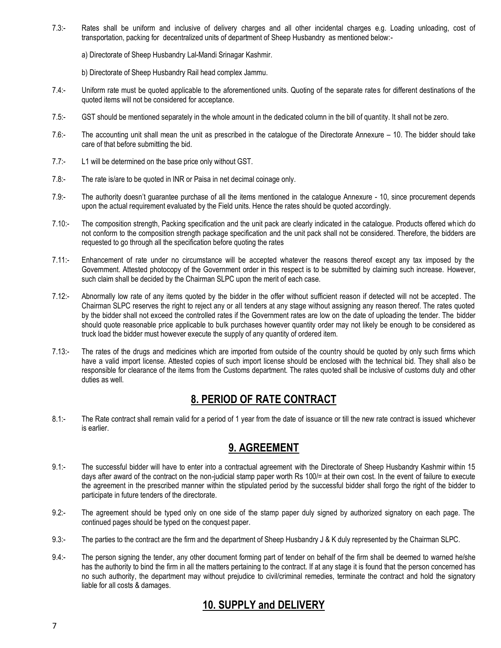- 7.3:- Rates shall be uniform and inclusive of delivery charges and all other incidental charges e.g. Loading unloading, cost of transportation, packing for decentralized units of department of Sheep Husbandry as mentioned below:
	- a) Directorate of Sheep Husbandry Lal-Mandi Srinagar Kashmir.
	- b) Directorate of Sheep Husbandry Rail head complex Jammu.
- 7.4:- Uniform rate must be quoted applicable to the aforementioned units. Quoting of the separate rates for different destinations of the quoted items will not be considered for acceptance.
- 7.5:- GST should be mentioned separately in the whole amount in the dedicated column in the bill of quantity. It shall not be zero.
- 7.6:- The accounting unit shall mean the unit as prescribed in the catalogue of the Directorate Annexure 10. The bidder should take care of that before submitting the bid.
- 7.7:- L1 will be determined on the base price only without GST.
- 7.8:- The rate is/are to be quoted in INR or Paisa in net decimal coinage only.
- 7.9:- The authority doesn't guarantee purchase of all the items mentioned in the catalogue Annexure 10, since procurement depends upon the actual requirement evaluated by the Field units. Hence the rates should be quoted accordingly.
- 7.10:- The composition strength, Packing specification and the unit pack are clearly indicated in the catalogue. Products offered which do not conform to the composition strength package specification and the unit pack shall not be considered. Therefore, the bidders are requested to go through all the specification before quoting the rates
- 7.11:- Enhancement of rate under no circumstance will be accepted whatever the reasons thereof except any tax imposed by the Government. Attested photocopy of the Government order in this respect is to be submitted by claiming such increase. However, such claim shall be decided by the Chairman SLPC upon the merit of each case.
- 7.12:- Abnormally low rate of any items quoted by the bidder in the offer without sufficient reason if detected will not be accepted. The Chairman SLPC reserves the right to reject any or all tenders at any stage without assigning any reason thereof. The rates quoted by the bidder shall not exceed the controlled rates if the Government rates are low on the date of uploading the tender. The bidder should quote reasonable price applicable to bulk purchases however quantity order may not likely be enough to be considered as truck load the bidder must however execute the supply of any quantity of ordered item.
- 7.13:- The rates of the drugs and medicines which are imported from outside of the country should be quoted by only such firms which have a valid import license. Attested copies of such import license should be enclosed with the technical bid. They shall also be responsible for clearance of the items from the Customs department. The rates quoted shall be inclusive of customs duty and other duties as well.

# **8. PERIOD OF RATE CONTRACT**

8.1:- The Rate contract shall remain valid for a period of 1 year from the date of issuance or till the new rate contract is issued whichever is earlier.

## **9. AGREEMENT**

- 9.1:- The successful bidder will have to enter into a contractual agreement with the Directorate of Sheep Husbandry Kashmir within 15 days after award of the contract on the non-judicial stamp paper worth Rs 100/= at their own cost. In the event of failure to execute the agreement in the prescribed manner within the stipulated period by the successful bidder shall forgo the right of the bidder to participate in future tenders of the directorate.
- 9.2:- The agreement should be typed only on one side of the stamp paper duly signed by authorized signatory on each page. The continued pages should be typed on the conquest paper.
- 9.3:- The parties to the contract are the firm and the department of Sheep Husbandry J & K duly represented by the Chairman SLPC.
- 9.4:- The person signing the tender, any other document forming part of tender on behalf of the firm shall be deemed to warned he/she has the authority to bind the firm in all the matters pertaining to the contract. If at any stage it is found that the person concerned has no such authority, the department may without prejudice to civil/criminal remedies, terminate the contract and hold the signatory liable for all costs & damages.

# **10. SUPPLY and DELIVERY**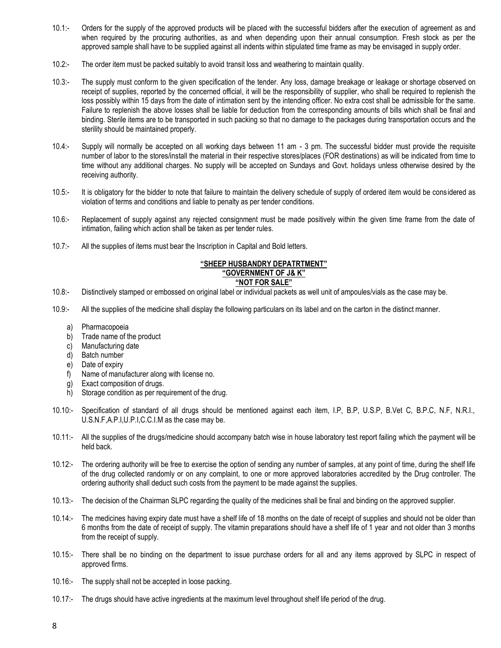- 10.1:- Orders for the supply of the approved products will be placed with the successful bidders after the execution of agreement as and when required by the procuring authorities, as and when depending upon their annual consumption. Fresh stock as per the approved sample shall have to be supplied against all indents within stipulated time frame as may be envisaged in supply order.
- 10.2:- The order item must be packed suitably to avoid transit loss and weathering to maintain quality.
- 10.3:- The supply must conform to the given specification of the tender. Any loss, damage breakage or leakage or shortage observed on receipt of supplies, reported by the concerned official, it will be the responsibility of supplier, who shall be required to replenish the loss possibly within 15 days from the date of intimation sent by the intending officer. No extra cost shall be admissible for the same. Failure to replenish the above losses shall be liable for deduction from the corresponding amounts of bills which shall be final and binding. Sterile items are to be transported in such packing so that no damage to the packages during transportation occurs and the sterility should be maintained properly.
- 10.4:- Supply will normally be accepted on all working days between 11 am 3 pm. The successful bidder must provide the requisite number of labor to the stores/install the material in their respective stores/places (FOR destinations) as will be indicated from time to time without any additional charges. No supply will be accepted on Sundays and Govt. holidays unless otherwise desired by the receiving authority.
- 10.5:- It is obligatory for the bidder to note that failure to maintain the delivery schedule of supply of ordered item would be cons idered as violation of terms and conditions and liable to penalty as per tender conditions.
- 10.6:- Replacement of supply against any rejected consignment must be made positively within the given time frame from the date of intimation, failing which action shall be taken as per tender rules.
- 10.7:- All the supplies of items must bear the Inscription in Capital and Bold letters.

## **"SHEEP HUSBANDRY DEPATRTMENT"**

### **"GOVERNMENT OF J& K"**

### **"NOT FOR SALE"**

- 10.8:- Distinctively stamped or embossed on original label or individual packets as well unit of ampoules/vials as the case may be.
- 10.9:- All the supplies of the medicine shall display the following particulars on its label and on the carton in the distinct manner.
	- a) Pharmacopoeia
	- b) Trade name of the product
	- c) Manufacturing date
	- d) Batch number
	- e) Date of expiry
	- f) Name of manufacturer along with license no.
	- g) Exact composition of drugs.
	- h) Storage condition as per requirement of the drug.
- 10.10:- Specification of standard of all drugs should be mentioned against each item, I.P, B.P, U.S.P, B.Vet C, B.P.C, N.F, N.R.I., U.S.N.F,A.P.I,U.P.I,C.C.I.M as the case may be.
- 10.11:- All the supplies of the drugs/medicine should accompany batch wise in house laboratory test report failing which the payment will be held back.
- 10.12:- The ordering authority will be free to exercise the option of sending any number of samples, at any point of time, during the shelf life of the drug collected randomly or on any complaint, to one or more approved laboratories accredited by the Drug controller. The ordering authority shall deduct such costs from the payment to be made against the supplies.
- 10.13:- The decision of the Chairman SLPC regarding the quality of the medicines shall be final and binding on the approved supplier.
- 10.14:- The medicines having expiry date must have a shelf life of 18 months on the date of receipt of supplies and should not be older than 6 months from the date of receipt of supply. The vitamin preparations should have a shelf life of 1 year and not older than 3 months from the receipt of supply.
- 10.15:- There shall be no binding on the department to issue purchase orders for all and any items approved by SLPC in respect of approved firms.
- 10.16:- The supply shall not be accepted in loose packing.
- 10.17:- The drugs should have active ingredients at the maximum level throughout shelf life period of the drug.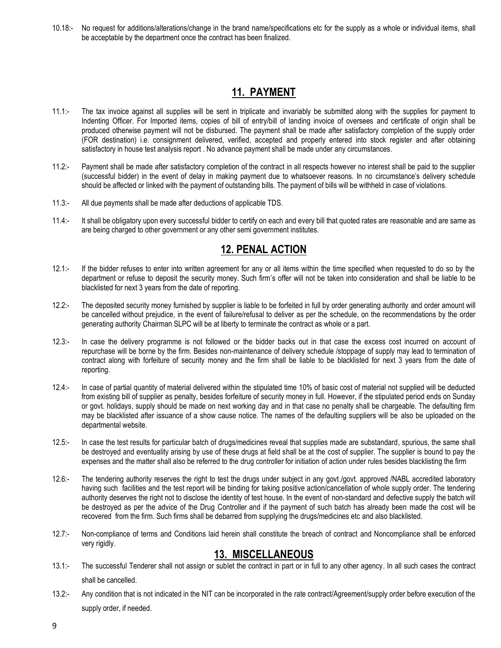10.18:- No request for additions/alterations/change in the brand name/specifications etc for the supply as a whole or individual items, shall be acceptable by the department once the contract has been finalized.

## **11. PAYMENT**

- 11.1:- The tax invoice against all supplies will be sent in triplicate and invariably be submitted along with the supplies for payment to Indenting Officer. For Imported items, copies of bill of entry/bill of landing invoice of oversees and certificate of origin shall be produced otherwise payment will not be disbursed. The payment shall be made after satisfactory completion of the supply order (FOR destination) i.e. consignment delivered, verified, accepted and properly entered into stock register and after obtaining satisfactory in house test analysis report . No advance payment shall be made under any circumstances.
- 11.2:- Payment shall be made after satisfactory completion of the contract in all respects however no interest shall be paid to the supplier (successful bidder) in the event of delay in making payment due to whatsoever reasons. In no circumstance's delivery schedule should be affected or linked with the payment of outstanding bills. The payment of bills will be withheld in case of violations.
- 11.3:- All due payments shall be made after deductions of applicable TDS.
- 11.4:- It shall be obligatory upon every successful bidder to certify on each and every bill that quoted rates are reasonable and are same as are being charged to other government or any other semi government institutes.

## **12. PENAL ACTION**

- 12.1:- If the bidder refuses to enter into written agreement for any or all items within the time specified when requested to do so by the department or refuse to deposit the security money. Such firm's offer will not be taken into consideration and shall be liable to be blacklisted for next 3 years from the date of reporting.
- 12.2:- The deposited security money furnished by supplier is liable to be forfeited in full by order generating authority and order amount will be cancelled without prejudice, in the event of failure/refusal to deliver as per the schedule, on the recommendations by the order generating authority Chairman SLPC will be at liberty to terminate the contract as whole or a part.
- 12.3:- In case the delivery programme is not followed or the bidder backs out in that case the excess cost incurred on account of repurchase will be borne by the firm. Besides non-maintenance of delivery schedule /stoppage of supply may lead to termination of contract along with forfeiture of security money and the firm shall be liable to be blacklisted for next 3 years from the date of reporting.
- 12.4:- In case of partial quantity of material delivered within the stipulated time 10% of basic cost of material not supplied will be deducted from existing bill of supplier as penalty, besides forfeiture of security money in full. However, if the stipulated period ends on Sunday or govt. holidays, supply should be made on next working day and in that case no penalty shall be chargeable. The defaulting firm may be blacklisted after issuance of a show cause notice. The names of the defaulting suppliers will be also be uploaded on the departmental website.
- 12.5:- In case the test results for particular batch of drugs/medicines reveal that supplies made are substandard, spurious, the same shall be destroyed and eventuality arising by use of these drugs at field shall be at the cost of supplier. The supplier is bound to pay the expenses and the matter shall also be referred to the drug controller for initiation of action under rules besides blacklisting the firm
- 12.6:- The tendering authority reserves the right to test the drugs under subject in any govt./govt. approved /NABL accredited laboratory having such facilities and the test report will be binding for taking positive action/cancellation of whole supply order. The tendering authority deserves the right not to disclose the identity of test house. In the event of non-standard and defective supply the batch will be destroyed as per the advice of the Drug Controller and if the payment of such batch has already been made the cost will be recovered from the firm. Such firms shall be debarred from supplying the drugs/medicines etc and also blacklisted.
- 12.7:- Non-compliance of terms and Conditions laid herein shall constitute the breach of contract and Noncompliance shall be enforced very rigidly.

## **13. MISCELLANEOUS**

- 13.1:- The successful Tenderer shall not assign or sublet the contract in part or in full to any other agency. In all such cases the contract shall be cancelled.
- 13.2:- Any condition that is not indicated in the NIT can be incorporated in the rate contract/Agreement/supply order before execution of the supply order, if needed.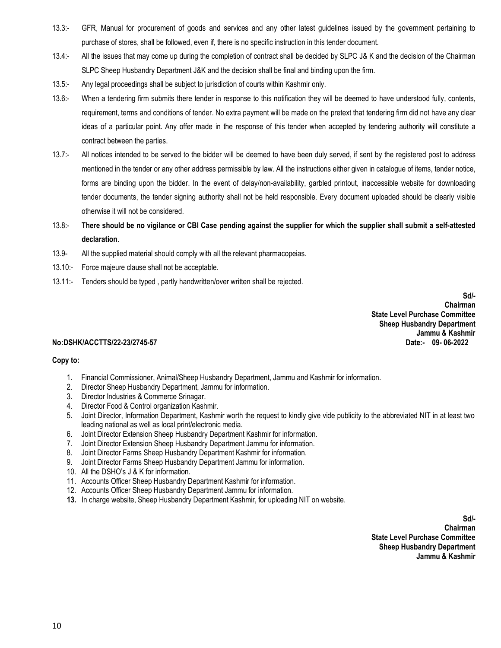- 13.3:- GFR, Manual for procurement of goods and services and any other latest guidelines issued by the government pertaining to purchase of stores, shall be followed, even if, there is no specific instruction in this tender document.
- 13.4:- All the issues that may come up during the completion of contract shall be decided by SLPC J& K and the decision of the Chairman SLPC Sheep Husbandry Department J&K and the decision shall be final and binding upon the firm.
- 13.5:- Any legal proceedings shall be subject to jurisdiction of courts within Kashmir only.
- 13.6:- When a tendering firm submits there tender in response to this notification they will be deemed to have understood fully, contents, requirement, terms and conditions of tender. No extra payment will be made on the pretext that tendering firm did not have any clear ideas of a particular point. Any offer made in the response of this tender when accepted by tendering authority will constitute a contract between the parties.
- 13.7:- All notices intended to be served to the bidder will be deemed to have been duly served, if sent by the registered post to address mentioned in the tender or any other address permissible by law. All the instructions either given in catalogue of items, tender notice, forms are binding upon the bidder. In the event of delay/non-availability, garbled printout, inaccessible website for downloading tender documents, the tender signing authority shall not be held responsible. Every document uploaded should be clearly visible otherwise it will not be considered.
- 13.8:- **There should be no vigilance or CBI Case pending against the supplier for which the supplier shall submit a self-attested declaration**.
- 13.9- All the supplied material should comply with all the relevant pharmacopeias.
- 13.10:- Force majeure clause shall not be acceptable.
- 13.11:- Tenders should be typed , partly handwritten/over written shall be rejected.

**Sd/- Chairman State Level Purchase Committee Sheep Husbandry Department Jammu & Kashmir**<br>**Date:-** 09-06-2022

#### $No:DSHK/ACCTIONS/22-23/2745-57$

#### **Copy to:**

- 1. Financial Commissioner, Animal/Sheep Husbandry Department, Jammu and Kashmir for information.
- 2. Director Sheep Husbandry Department, Jammu for information.
- 3. Director Industries & Commerce Srinagar.
- 4. Director Food & Control organization Kashmir.
- 5. Joint Director, Information Department, Kashmir worth the request to kindly give vide publicity to the abbreviated NIT in at least two leading national as well as local print/electronic media.
- 6. Joint Director Extension Sheep Husbandry Department Kashmir for information.
- 7. Joint Director Extension Sheep Husbandry Department Jammu for information.
- 8. Joint Director Farms Sheep Husbandry Department Kashmir for information.
- 9. Joint Director Farms Sheep Husbandry Department Jammu for information.
- 10. All the DSHO's J & K for information.
- 11. Accounts Officer Sheep Husbandry Department Kashmir for information.
- 12. Accounts Officer Sheep Husbandry Department Jammu for information.
- **13.** In charge website, Sheep Husbandry Department Kashmir, for uploading NIT on website.

**Sd/-**<br>Chairman  *Chairman* Chairman and Chairman and Chairman and Chairman and Chairman and Chairman and Chairman and Chairman  **State Level Purchase Committee Sheep Husbandry Department Jammu & Kashmir**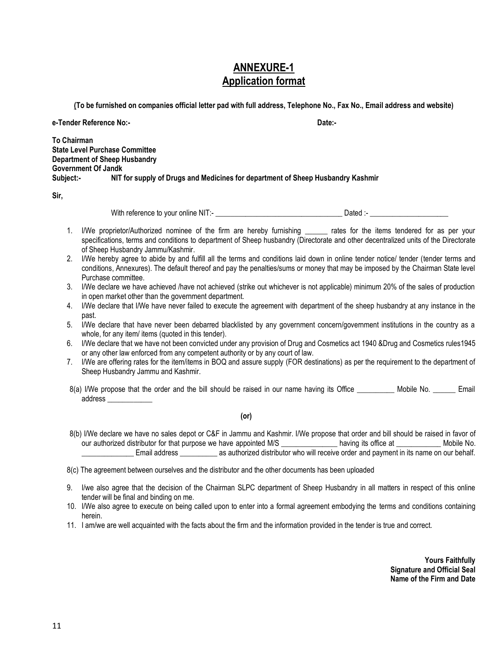## **ANNEXURE-1 Application format**

**(To be furnished on companies official letter pad with full address, Telephone No., Fax No., Email address and website)**

**e-Tender Reference No:- Date:-**

**To Chairman State Level Purchase Committee Department of Sheep Husbandry Government Of Jandk Subject:- NIT for supply of Drugs and Medicines for department of Sheep Husbandry Kashmir** 

**Sir,**

With reference to your online NIT:- \_\_\_\_\_\_\_\_\_\_\_\_\_\_\_\_\_\_\_\_\_\_\_\_\_\_\_\_\_\_\_\_\_\_ Dated :- \_\_\_\_\_\_\_\_\_\_\_\_\_\_\_\_\_\_\_\_\_

- 1. I/We proprietor/Authorized nominee of the firm are hereby furnishing rates for the items tendered for as per your specifications, terms and conditions to department of Sheep husbandry (Directorate and other decentralized units of the Directorate of Sheep Husbandry Jammu/Kashmir.
- 2. I/We hereby agree to abide by and fulfill all the terms and conditions laid down in online tender notice/ tender (tender terms and conditions, Annexures). The default thereof and pay the penalties/sums or money that may be imposed by the Chairman State level Purchase committee.
- 3. I/We declare we have achieved /have not achieved (strike out whichever is not applicable) minimum 20% of the sales of production in open market other than the government department.
- 4. I/We declare that I/We have never failed to execute the agreement with department of the sheep husbandry at any instance in the past.
- 5. I/We declare that have never been debarred blacklisted by any government concern/government institutions in the country as a whole, for any item/ items (quoted in this tender).
- 6. I/We declare that we have not been convicted under any provision of Drug and Cosmetics act 1940 &Drug and Cosmetics rules1945 or any other law enforced from any competent authority or by any court of law.
- 7. I/We are offering rates for the item/items in BOQ and assure supply (FOR destinations) as per the requirement to the department of Sheep Husbandry Jammu and Kashmir.
- 8(a) I/We propose that the order and the bill should be raised in our name having its Office Mobile No. Email address \_\_\_\_\_\_\_\_\_\_\_\_

#### **(or)**

8(b) I/We declare we have no sales depot or C&F in Jammu and Kashmir. I/We propose that order and bill should be raised in favor of our authorized distributor for that purpose we have appointed M/S \_\_\_\_\_\_\_\_\_\_\_\_\_\_ having its office at \_\_\_\_\_\_\_\_\_\_\_\_\_ Mobile No. \_\_\_\_\_\_\_\_\_\_\_\_\_\_ Email address \_\_\_\_\_\_\_\_\_\_ as authorized distributor who will receive order and payment in its name on our behalf.

- 9. I/we also agree that the decision of the Chairman SLPC department of Sheep Husbandry in all matters in respect of this online tender will be final and binding on me.
- 10. I/We also agree to execute on being called upon to enter into a formal agreement embodying the terms and conditions containing herein.
- 11. I am/we are well acquainted with the facts about the firm and the information provided in the tender is true and correct.

**Yours Faithfully Signature and Official Seal Name of the Firm and Date** 

<sup>8(</sup>c) The agreement between ourselves and the distributor and the other documents has been uploaded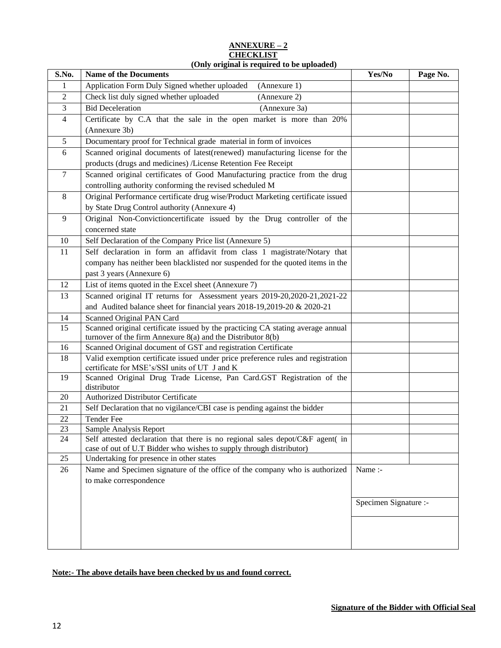#### **ANNEXURE – 2 CHECKLIST (Only original is required to be uploaded)**

| S.No.          | $(0, 0)$ original is required to be uploaded)<br><b>Name of the Documents</b>                                                                        | Yes/No                | Page No. |
|----------------|------------------------------------------------------------------------------------------------------------------------------------------------------|-----------------------|----------|
| 1              | Application Form Duly Signed whether uploaded<br>(Annexure 1)                                                                                        |                       |          |
| $\overline{c}$ | Check list duly signed whether uploaded<br>(Annexure 2)                                                                                              |                       |          |
| 3              | <b>Bid Deceleration</b><br>(Annexure 3a)                                                                                                             |                       |          |
| $\overline{4}$ | Certificate by C.A that the sale in the open market is more than 20%                                                                                 |                       |          |
|                | (Annexure 3b)                                                                                                                                        |                       |          |
| 5              | Documentary proof for Technical grade material in form of invoices                                                                                   |                       |          |
| 6              | Scanned original documents of latest(renewed) manufacturing license for the                                                                          |                       |          |
|                | products (drugs and medicines) /License Retention Fee Receipt                                                                                        |                       |          |
| $\tau$         | Scanned original certificates of Good Manufacturing practice from the drug                                                                           |                       |          |
|                | controlling authority conforming the revised scheduled M                                                                                             |                       |          |
| 8              | Original Performance certificate drug wise/Product Marketing certificate issued                                                                      |                       |          |
|                | by State Drug Control authority (Annexure 4)                                                                                                         |                       |          |
| 9              | Original Non-Convictioncertificate issued by the Drug controller of the                                                                              |                       |          |
|                | concerned state                                                                                                                                      |                       |          |
| 10             | Self Declaration of the Company Price list (Annexure 5)                                                                                              |                       |          |
| 11             | Self declaration in form an affidavit from class 1 magistrate/Notary that                                                                            |                       |          |
|                | company has neither been blacklisted nor suspended for the quoted items in the                                                                       |                       |          |
|                | past 3 years (Annexure 6)                                                                                                                            |                       |          |
| 12             | List of items quoted in the Excel sheet (Annexure 7)                                                                                                 |                       |          |
| 13             | Scanned original IT returns for Assessment years 2019-20, 2020-21, 2021-22                                                                           |                       |          |
|                | and Audited balance sheet for financial years 2018-19,2019-20 & 2020-21                                                                              |                       |          |
| 14             | Scanned Original PAN Card                                                                                                                            |                       |          |
| 15             | Scanned original certificate issued by the practicing CA stating average annual                                                                      |                       |          |
|                | turnover of the firm Annexure $8(a)$ and the Distributor $8(b)$                                                                                      |                       |          |
| 16             | Scanned Original document of GST and registration Certificate                                                                                        |                       |          |
| 18             | Valid exemption certificate issued under price preference rules and registration<br>certificate for MSE's/SSI units of UT J and K                    |                       |          |
| 19             | Scanned Original Drug Trade License, Pan Card.GST Registration of the<br>distributor                                                                 |                       |          |
| 20             | Authorized Distributor Certificate                                                                                                                   |                       |          |
| 21             | Self Declaration that no vigilance/CBI case is pending against the bidder                                                                            |                       |          |
| 22             | Tender Fee                                                                                                                                           |                       |          |
| 23             | Sample Analysis Report                                                                                                                               |                       |          |
| 24             | Self attested declaration that there is no regional sales depot/C&F agent( in<br>case of out of U.T Bidder who wishes to supply through distributor) |                       |          |
| 25             | Undertaking for presence in other states                                                                                                             |                       |          |
| 26             | Name and Specimen signature of the office of the company who is authorized                                                                           | Name:-                |          |
|                | to make correspondence                                                                                                                               |                       |          |
|                |                                                                                                                                                      |                       |          |
|                |                                                                                                                                                      | Specimen Signature :- |          |
|                |                                                                                                                                                      |                       |          |
|                |                                                                                                                                                      |                       |          |
|                |                                                                                                                                                      |                       |          |

**Note:- The above details have been checked by us and found correct.**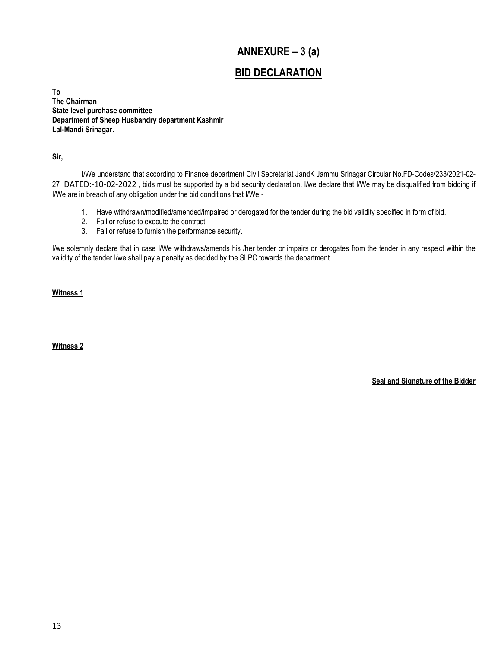## **ANNEXURE – 3 (a)**

## **BID DECLARATION**

**To The Chairman State level purchase committee Department of Sheep Husbandry department Kashmir Lal-Mandi Srinagar.**

**Sir,**

I/We understand that according to Finance department Civil Secretariat JandK Jammu Srinagar Circular No.FD-Codes/233/2021-02- 27 DATED:-10-02-2022 , bids must be supported by a bid security declaration. I/we declare that I/We may be disqualified from bidding if I/We are in breach of any obligation under the bid conditions that I/We:-

- 1. Have withdrawn/modified/amended/impaired or derogated for the tender during the bid validity specified in form of bid.
- 2. Fail or refuse to execute the contract.
- 3. Fail or refuse to furnish the performance security.

I/we solemnly declare that in case I/We withdraws/amends his /her tender or impairs or derogates from the tender in any respect within the validity of the tender I/we shall pay a penalty as decided by the SLPC towards the department.

**Witness 1**

**Witness 2**

**Seal and Signature of the Bidder**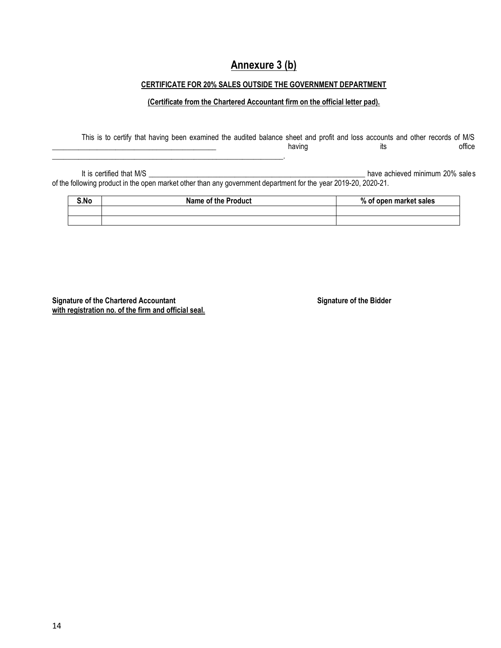## **Annexure 3 (b)**

### **CERTIFICATE FOR 20% SALES OUTSIDE THE GOVERNMENT DEPARTMENT**

#### **(Certificate from the Chartered Accountant firm on the official letter pad).**

This is to certify that having been examined the audited balance sheet and profit and loss accounts and other records of M/S \_\_\_\_\_\_\_\_\_\_\_\_\_\_\_\_\_\_\_\_\_\_\_\_\_\_\_\_\_\_\_\_\_\_\_\_\_\_\_\_\_\_\_\_ having its office \_\_\_\_\_\_\_\_\_\_\_\_\_\_\_\_\_\_\_\_\_\_\_\_\_\_\_\_\_\_\_\_\_\_\_\_\_\_\_\_\_\_\_\_\_\_\_\_\_\_\_\_\_\_\_\_\_\_\_\_\_\_.

It is certified that M/S \_\_\_\_\_\_\_\_\_\_\_\_\_\_\_\_\_\_\_\_\_\_\_\_\_\_\_\_\_\_\_\_\_\_\_\_\_\_\_\_\_\_\_\_\_\_\_\_\_\_\_\_\_\_\_\_\_\_ have achieved minimum 20% sales of the following product in the open market other than any government department for the year 2019-20, 2020-21.

| S.No | <b>Name of the Product</b> | % of open market sales |
|------|----------------------------|------------------------|
|      |                            |                        |
|      |                            |                        |

**Signature of the Chartered Accountant Signature of the Bidder with registration no. of the firm and official seal.**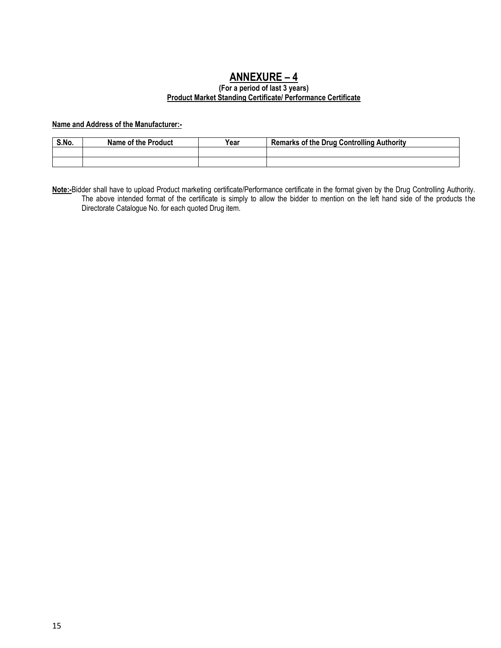# **ANNEXURE – 4**

#### **(For a period of last 3 years) Product Market Standing Certificate/ Performance Certificate**

### **Name and Address of the Manufacturer:-**

| S.No. | Name of the Product | Year | <b>Remarks of the Drug Controlling Authority</b> |
|-------|---------------------|------|--------------------------------------------------|
|       |                     |      |                                                  |
|       |                     |      |                                                  |

**Note:-**Bidder shall have to upload Product marketing certificate/Performance certificate in the format given by the Drug Controlling Authority. The above intended format of the certificate is simply to allow the bidder to mention on the left hand side of the products the Directorate Catalogue No. for each quoted Drug item.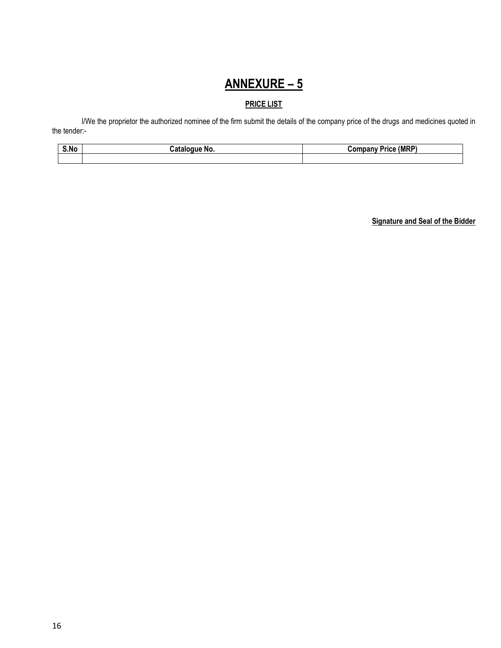# **ANNEXURE – 5**

## **PRICE LIST**

I/We the proprietor the authorized nominee of the firm submit the details of the company price of the drugs and medicines quoted in the tender:-

| . .  | NO.  | . (MRP) |
|------|------|---------|
|      | оошк | nce.    |
| S.NG | .    | л       |
|      |      |         |

**Signature and Seal of the Bidder**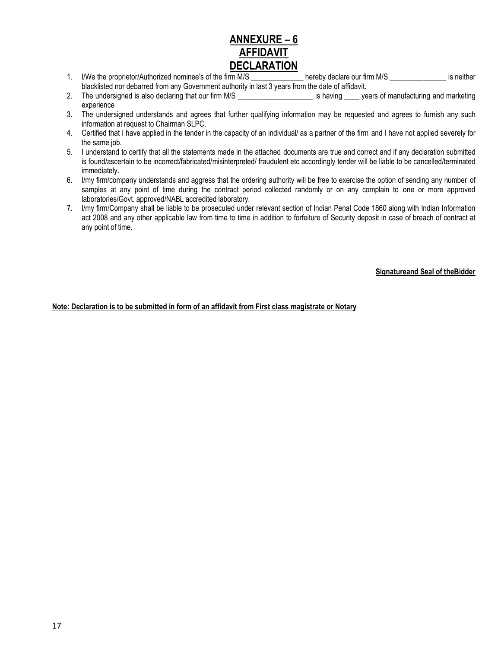## **ANNEXURE – 6 AFFIDAVIT DECLARATION**

- 1. I/We the proprietor/Authorized nominee's of the firm M/S \_\_\_\_\_\_\_\_\_\_\_\_\_\_ hereby declare our firm M/S \_\_\_\_\_\_\_\_\_\_\_\_\_\_\_\_ is neither blacklisted nor debarred from any Government authority in last 3 years from the date of affidavit.
- 2. The undersigned is also declaring that our firm M/S \_\_\_\_\_\_\_\_\_\_\_\_\_\_\_\_\_\_\_\_\_\_\_\_ is having \_\_\_\_\_ years of manufacturing and marketing experience
- 3. The undersigned understands and agrees that further qualifying information may be requested and agrees to furnish any such information at request to Chairman SLPC.
- 4. Certified that I have applied in the tender in the capacity of an individual/ as a partner of the firm and I have not applied severely for the same job.
- 5. I understand to certify that all the statements made in the attached documents are true and correct and if any declaration submitted is found/ascertain to be incorrect/fabricated/misinterpreted/ fraudulent etc accordingly tender will be liable to be cancelled/terminated immediately.
- 6. I/my firm/company understands and aggress that the ordering authority will be free to exercise the option of sending any number of samples at any point of time during the contract period collected randomly or on any complain to one or more approved laboratories/Govt. approved/NABL accredited laboratory.
- 7. I/my firm/Company shall be liable to be prosecuted under relevant section of Indian Penal Code 1860 along with Indian Information act 2008 and any other applicable law from time to time in addition to forfeiture of Security deposit in case of breach of contract at any point of time.

**Signatureand Seal of theBidder**

**Note: Declaration is to be submitted in form of an affidavit from First class magistrate or Notary**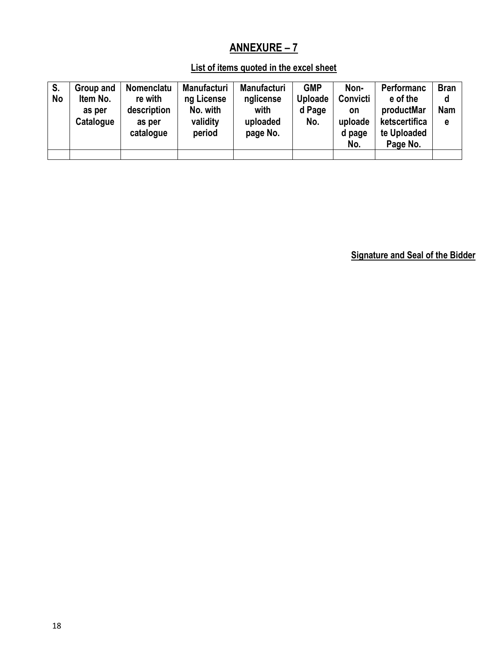# **ANNEXURE – 7**

## **List of items quoted in the excel sheet**

| S.<br>No | Group and<br>Item No.<br>as per<br>Catalogue | Nomenclatu<br>re with<br>description<br>as per<br>catalogue | <b>Manufacturi</b><br>ng License<br>No. with<br>validity<br>period | <b>Manufacturi</b><br>nglicense<br>with<br>uploaded<br>page No. | <b>GMP</b><br>Uploade<br>d Page<br>No. | Non-<br>Convicti<br>on<br>uploade<br>d page<br>No. | Performanc<br>e of the<br>productMar<br>ketscertifica<br>te Uploaded<br>Page No. | <b>Bran</b><br>d<br><b>Nam</b><br>e |
|----------|----------------------------------------------|-------------------------------------------------------------|--------------------------------------------------------------------|-----------------------------------------------------------------|----------------------------------------|----------------------------------------------------|----------------------------------------------------------------------------------|-------------------------------------|
|          |                                              |                                                             |                                                                    |                                                                 |                                        |                                                    |                                                                                  |                                     |

**Signature and Seal of the Bidder**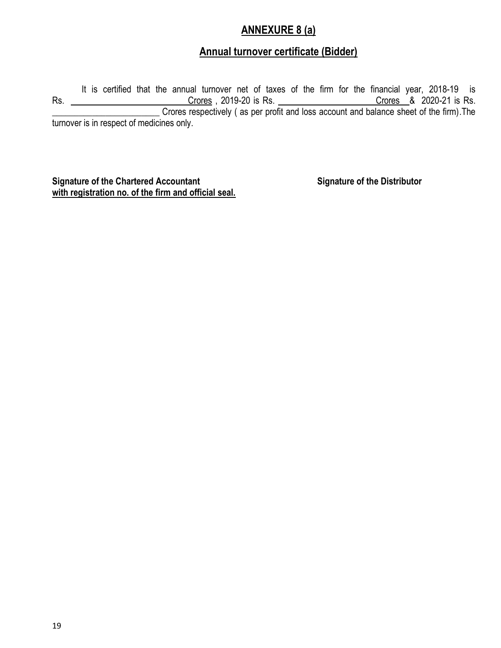## **ANNEXURE 8 (a)**

## **Annual turnover certificate (Bidder)**

It is certified that the annual turnover net of taxes of the firm for the financial year, 2018-19 is Rs. \_\_\_\_\_\_\_\_\_\_\_\_\_\_\_\_\_\_\_\_\_\_\_\_\_\_\_\_Crores,2019-20 is Rs. \_\_\_\_\_\_\_\_\_\_\_\_\_\_\_\_\_\_\_\_\_\_\_Crores\_\_&\_2020-21 is Rs. \_\_\_\_\_\_\_\_\_\_\_\_\_\_\_\_\_\_\_\_\_\_\_\_ Crores respectively ( as per profit and loss account and balance sheet of the firm).The turnover is in respect of medicines only.

**Signature of the Chartered Accountant Signature of the Distributor with registration no. of the firm and official seal.**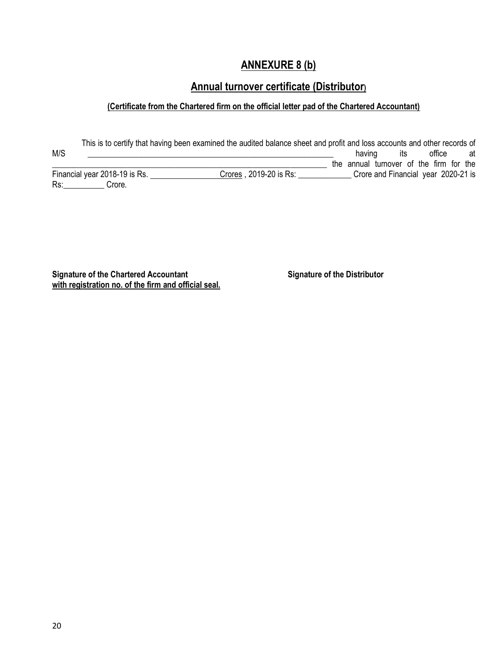## **ANNEXURE 8 (b)**

## **Annual turnover certificate (Distributor)**

## **(Certificate from the Chartered firm on the official letter pad of the Chartered Accountant)**

This is to certify that having been examined the audited balance sheet and profit and loss accounts and other records of<br>having its office at M/S and the set of the set of the set of the set of the set of the set of the set of the set of the set of the set of the set of the set of the set of the set of the set of the set of the set of the set of the set of the s \_\_\_\_\_\_\_\_\_\_\_\_\_\_\_\_\_\_\_\_\_\_\_\_\_\_\_\_\_\_\_\_\_\_\_\_\_\_\_\_\_\_\_\_\_\_\_\_\_\_\_\_\_\_\_\_\_\_\_\_\_\_\_\_\_\_\_ the annual turnover of the firm for the Financial year 2018-19 is Rs. \_\_\_\_\_\_\_\_\_\_\_\_\_\_\_\_\_\_Crores , 2019-20 is Rs: \_\_\_\_\_\_\_\_\_\_\_\_\_\_Crore and Financial year 2020-21 is Rs:\_\_\_\_\_\_\_\_\_\_ Crore.

**Signature of the Chartered Accountant Signature of the Distributor with registration no. of the firm and official seal.**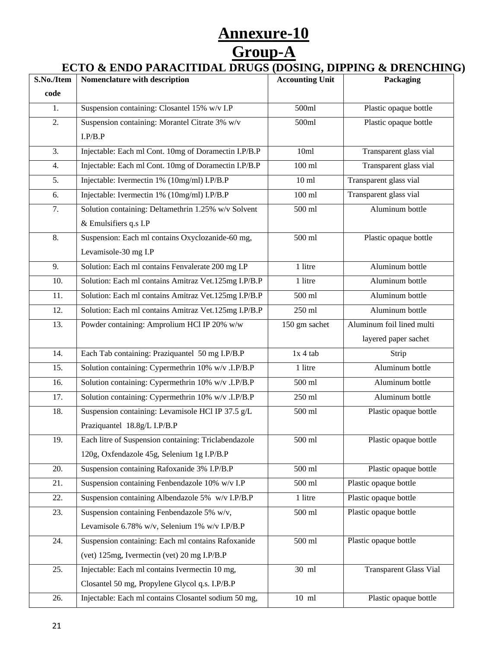# **Annexure-10 Group-A**

## **ECTO & ENDO PARACITIDAL DRUGS (DOSING, DIPPING & DRENCHING)**

| S.No./Item | Nomenclature with description                        | <b>Accounting Unit</b> | Packaging                     |
|------------|------------------------------------------------------|------------------------|-------------------------------|
| code       |                                                      |                        |                               |
| 1.         | Suspension containing: Closantel 15% w/v I.P         | 500ml                  | Plastic opaque bottle         |
| 2.         | Suspension containing: Morantel Citrate 3% w/v       | 500ml                  | Plastic opaque bottle         |
|            | I.P/B.P                                              |                        |                               |
| 3.         | Injectable: Each ml Cont. 10mg of Doramectin I.P/B.P | 10ml                   | Transparent glass vial        |
| 4.         | Injectable: Each ml Cont. 10mg of Doramectin I.P/B.P | $100$ ml               | Transparent glass vial        |
| 5.         | Injectable: Ivermectin 1% (10mg/ml) I.P/B.P          | $10 \text{ ml}$        | Transparent glass vial        |
| 6.         | Injectable: Ivermectin 1% (10mg/ml) I.P/B.P          | $100$ ml               | Transparent glass vial        |
| 7.         | Solution containing: Deltamethrin 1.25% w/v Solvent  | 500 ml                 | Aluminum bottle               |
|            | & Emulsifiers q.s I.P                                |                        |                               |
| 8.         | Suspension: Each ml contains Oxyclozanide-60 mg,     | 500 ml                 | Plastic opaque bottle         |
|            | Levamisole-30 mg I.P                                 |                        |                               |
| 9.         | Solution: Each ml contains Fenvalerate 200 mg I.P    | 1 litre                | Aluminum bottle               |
| 10.        | Solution: Each ml contains Amitraz Vet.125mg I.P/B.P | 1 litre                | Aluminum bottle               |
| 11.        | Solution: Each ml contains Amitraz Vet.125mg I.P/B.P | 500 ml                 | Aluminum bottle               |
| 12.        | Solution: Each ml contains Amitraz Vet.125mg I.P/B.P | 250 ml                 | Aluminum bottle               |
| 13.        | Powder containing: Amprolium HCl IP 20% w/w          | 150 gm sachet          | Aluminum foil lined multi     |
|            |                                                      |                        | layered paper sachet          |
| 14.        | Each Tab containing: Praziquantel 50 mg I.P/B.P      | $1x 4$ tab             | Strip                         |
| 15.        | Solution containing: Cypermethrin 10% w/v .I.P/B.P   | 1 litre                | Aluminum bottle               |
| 16.        | Solution containing: Cypermethrin 10% w/v .I.P/B.P   | 500 ml                 | Aluminum bottle               |
| 17.        | Solution containing: Cypermethrin 10% w/v .I.P/B.P   | 250 ml                 | Aluminum bottle               |
| 18.        | Suspension containing: Levamisole HCl IP 37.5 g/L    | $500$ ml               | Plastic opaque bottle         |
|            | Praziquantel 18.8g/L I.P/B.P                         |                        |                               |
| 19.        | Each litre of Suspension containing: Triclabendazole | 500 ml                 | Plastic opaque bottle         |
|            | 120g, Oxfendazole 45g, Selenium 1g I.P/B.P           |                        |                               |
| 20.        | Suspension containing Rafoxanide 3% I.P/B.P          | 500 ml                 | Plastic opaque bottle         |
| 21.        | Suspension containing Fenbendazole 10% w/v I.P       | 500 ml                 | Plastic opaque bottle         |
| 22.        | Suspension containing Albendazole 5% w/v I.P/B.P     | 1 litre                | Plastic opaque bottle         |
| 23.        | Suspension containing Fenbendazole 5% w/v,           | 500 ml                 | Plastic opaque bottle         |
|            | Levamisole 6.78% w/v, Selenium 1% w/v I.P/B.P        |                        |                               |
| 24.        | Suspension containing: Each ml contains Rafoxanide   | 500 ml                 | Plastic opaque bottle         |
|            | (vet) 125mg, Ivermectin (vet) 20 mg I.P/B.P          |                        |                               |
| 25.        | Injectable: Each ml contains Ivermectin 10 mg,       | 30 ml                  | <b>Transparent Glass Vial</b> |
|            | Closantel 50 mg, Propylene Glycol q.s. I.P/B.P       |                        |                               |
| 26.        | Injectable: Each ml contains Closantel sodium 50 mg, | $10 \text{ ml}$        | Plastic opaque bottle         |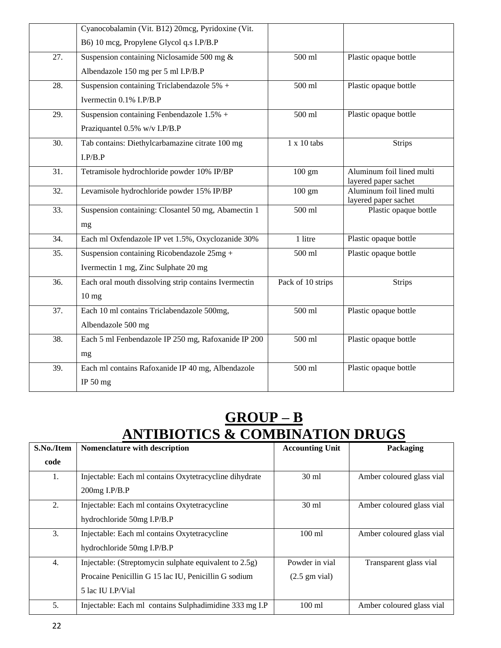|     | Cyanocobalamin (Vit. B12) 20mcg, Pyridoxine (Vit.    |                    |                                                   |
|-----|------------------------------------------------------|--------------------|---------------------------------------------------|
|     | B6) 10 mcg, Propylene Glycol q.s I.P/B.P             |                    |                                                   |
| 27. | Suspension containing Niclosamide 500 mg $\&$        | 500 ml             | Plastic opaque bottle                             |
|     | Albendazole 150 mg per 5 ml I.P/B.P                  |                    |                                                   |
| 28. | Suspension containing Triclabendazole $5\%$ +        | 500 ml             | Plastic opaque bottle                             |
|     | Ivermectin 0.1% I.P/B.P                              |                    |                                                   |
| 29. | Suspension containing Fenbendazole $1.5\%$ +         | 500 ml             | Plastic opaque bottle                             |
|     | Praziquantel 0.5% w/v I.P/B.P                        |                    |                                                   |
| 30. | Tab contains: Diethylcarbamazine citrate 100 mg      | $1 \times 10$ tabs | <b>Strips</b>                                     |
|     | I.P/B.P                                              |                    |                                                   |
| 31. | Tetramisole hydrochloride powder 10% IP/BP           | $100 \text{ gm}$   | Aluminum foil lined multi                         |
| 32. | Levamisole hydrochloride powder 15% IP/BP            | $100 \text{ gm}$   | layered paper sachet<br>Aluminum foil lined multi |
|     |                                                      |                    | layered paper sachet                              |
| 33. | Suspension containing: Closantel 50 mg, Abamectin 1  | 500 ml             | Plastic opaque bottle                             |
|     | mg                                                   |                    |                                                   |
| 34. | Each ml Oxfendazole IP vet 1.5%, Oxyclozanide 30%    | 1 litre            | Plastic opaque bottle                             |
| 35. | Suspension containing Ricobendazole $25mg +$         | 500 ml             | Plastic opaque bottle                             |
|     | Ivermectin 1 mg, Zinc Sulphate 20 mg                 |                    |                                                   |
| 36. | Each oral mouth dissolving strip contains Ivermectin | Pack of 10 strips  | <b>Strips</b>                                     |
|     | 10 <sub>mg</sub>                                     |                    |                                                   |
| 37. | Each 10 ml contains Triclabendazole 500mg,           | 500 ml             | Plastic opaque bottle                             |
|     | Albendazole 500 mg                                   |                    |                                                   |
| 38. | Each 5 ml Fenbendazole IP 250 mg, Rafoxanide IP 200  | 500 ml             | Plastic opaque bottle                             |
|     | mg                                                   |                    |                                                   |
| 39. | Each ml contains Rafoxanide IP 40 mg, Albendazole    | 500 ml             | Plastic opaque bottle                             |
|     | IP 50 mg                                             |                    |                                                   |
|     |                                                      |                    |                                                   |

# **GROUP – B ANTIBIOTICS & COMBINATION DRUGS**

| S.No./Item | Nomenclature with description                          | <b>Accounting Unit</b>  | Packaging                 |
|------------|--------------------------------------------------------|-------------------------|---------------------------|
| code       |                                                        |                         |                           |
| 1.         | Injectable: Each ml contains Oxytetracycline dihydrate | $30 \text{ ml}$         | Amber coloured glass vial |
|            | 200mg I.P/B.P                                          |                         |                           |
| 2.         | Injectable: Each ml contains Oxytetracycline           | $30 \text{ ml}$         | Amber coloured glass vial |
|            | hydrochloride 50mg I.P/B.P                             |                         |                           |
| 3.         | Injectable: Each ml contains Oxytetracycline           | $100 \text{ ml}$        | Amber coloured glass vial |
|            | hydrochloride 50mg I.P/B.P                             |                         |                           |
| 4.         | Injectable: (Streptomycin sulphate equivalent to 2.5g) | Powder in vial          | Transparent glass vial    |
|            | Procaine Penicillin G 15 lac IU, Penicillin G sodium   | $(2.5 \text{ gm vial})$ |                           |
|            | 5 lac IU LP/Vial                                       |                         |                           |
| 5.         | Injectable: Each ml contains Sulphadimidine 333 mg I.P | $100$ ml                | Amber coloured glass vial |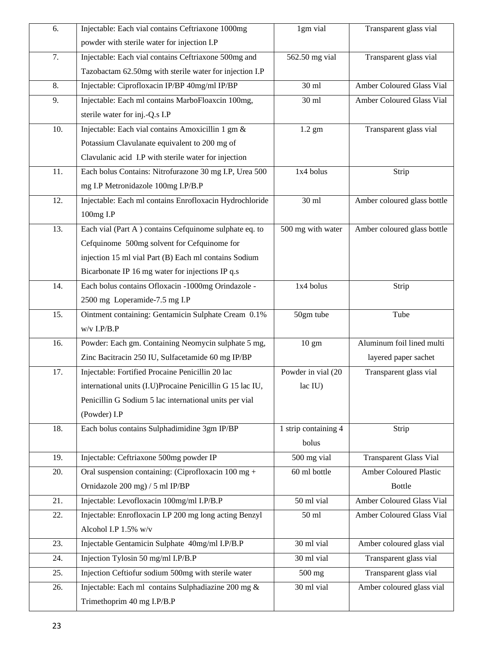| 6.  | Injectable: Each vial contains Ceftriaxone 1000mg             | 1gm vial             | Transparent glass vial        |
|-----|---------------------------------------------------------------|----------------------|-------------------------------|
|     | powder with sterile water for injection I.P                   |                      |                               |
| 7.  | Injectable: Each vial contains Ceftriaxone 500mg and          | 562.50 mg vial       | Transparent glass vial        |
|     | Tazobactam 62.50mg with sterile water for injection I.P       |                      |                               |
| 8.  | Injectable: Ciprofloxacin IP/BP 40mg/ml IP/BP                 | 30 ml                | Amber Coloured Glass Vial     |
| 9.  | Injectable: Each ml contains MarboFloaxcin 100mg,             | 30 ml                | Amber Coloured Glass Vial     |
|     | sterile water for inj.-Q.s I.P                                |                      |                               |
| 10. | Injectable: Each vial contains Amoxicillin 1 gm &             | $1.2$ gm             | Transparent glass vial        |
|     | Potassium Clavulanate equivalent to 200 mg of                 |                      |                               |
|     | Clavulanic acid I.P with sterile water for injection          |                      |                               |
| 11. | Each bolus Contains: Nitrofurazone 30 mg I.P, Urea 500        | 1x4 bolus            | Strip                         |
|     | mg I.P Metronidazole 100mg I.P/B.P                            |                      |                               |
| 12. | Injectable: Each ml contains Enrofloxacin Hydrochloride       | 30 ml                | Amber coloured glass bottle   |
|     | 100mg I.P                                                     |                      |                               |
| 13. | Each vial (Part A) contains Cefquinome sulphate eq. to        | 500 mg with water    | Amber coloured glass bottle   |
|     | Cefquinome 500mg solvent for Cefquinome for                   |                      |                               |
|     | injection 15 ml vial Part (B) Each ml contains Sodium         |                      |                               |
|     | Bicarbonate IP 16 mg water for injections IP q.s              |                      |                               |
| 14. | Each bolus contains Ofloxacin -1000mg Orindazole -            | 1x4 bolus            | Strip                         |
|     | 2500 mg Loperamide-7.5 mg I.P                                 |                      |                               |
| 15. | Ointment containing: Gentamicin Sulphate Cream 0.1%           | 50gm tube            | Tube                          |
|     | $w/v$ I.P/B.P                                                 |                      |                               |
| 16. | Powder: Each gm. Containing Neomycin sulphate 5 mg,           | $10 \text{ gm}$      | Aluminum foil lined multi     |
|     | Zinc Bacitracin 250 IU, Sulfacetamide 60 mg IP/BP             |                      | layered paper sachet          |
| 17. | Injectable: Fortified Procaine Penicillin 20 lac              | Powder in vial (20   | Transparent glass vial        |
|     | international units (I.U)Procaine Penicillin G 15 lac IU,     | lac IU)              |                               |
|     | Penicillin G Sodium 5 lac international units per vial        |                      |                               |
|     | (Powder) I.P                                                  |                      |                               |
| 18. | Each bolus contains Sulphadimidine 3gm IP/BP                  | 1 strip containing 4 | Strip                         |
|     |                                                               | bolus                |                               |
| 19. | Injectable: Ceftriaxone 500mg powder IP                       | 500 mg vial          | <b>Transparent Glass Vial</b> |
| 20. | Oral suspension containing: (Ciprofloxacin $100 \text{ mg} +$ | 60 ml bottle         | <b>Amber Coloured Plastic</b> |
|     | Ornidazole 200 mg) / 5 ml IP/BP                               |                      | <b>Bottle</b>                 |
| 21. | Injectable: Levofloxacin 100mg/ml I.P/B.P                     | 50 ml vial           | Amber Coloured Glass Vial     |
| 22. | Injectable: Enrofloxacin I.P 200 mg long acting Benzyl        | $50$ ml              | Amber Coloured Glass Vial     |
|     | Alcohol I.P 1.5% w/v                                          |                      |                               |
| 23. | Injectable Gentamicin Sulphate 40mg/ml I.P/B.P                | 30 ml vial           | Amber coloured glass vial     |
| 24. | Injection Tylosin 50 mg/ml I.P/B.P                            | 30 ml vial           | Transparent glass vial        |
| 25. | Injection Ceftiofur sodium 500mg with sterile water           | 500 mg               | Transparent glass vial        |
| 26. | Injectable: Each ml contains Sulphadiazine 200 mg &           | 30 ml vial           | Amber coloured glass vial     |
|     | Trimethoprim 40 mg I.P/B.P                                    |                      |                               |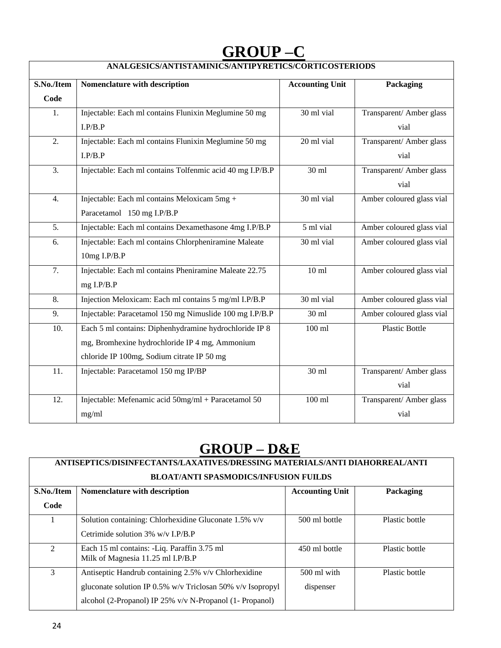# **GROUP –C**

| ANALGESICS/ANTISTAMINICS/ANTIPYRETICS/CORTICOSTERIODS |                                                           |                        |                           |  |  |
|-------------------------------------------------------|-----------------------------------------------------------|------------------------|---------------------------|--|--|
| S.No./Item                                            | Nomenclature with description                             | <b>Accounting Unit</b> | Packaging                 |  |  |
| Code                                                  |                                                           |                        |                           |  |  |
| 1.                                                    | Injectable: Each ml contains Flunixin Meglumine 50 mg     | 30 ml vial             | Transparent/ Amber glass  |  |  |
|                                                       | I.P/B.P                                                   |                        | vial                      |  |  |
| 2.                                                    | Injectable: Each ml contains Flunixin Meglumine 50 mg     | 20 ml vial             | Transparent/ Amber glass  |  |  |
|                                                       | I.P/B.P                                                   |                        | vial                      |  |  |
| $\overline{3}$ .                                      | Injectable: Each ml contains Tolfenmic acid 40 mg I.P/B.P | 30 ml                  | Transparent/ Amber glass  |  |  |
|                                                       |                                                           |                        | vial                      |  |  |
| 4.                                                    | Injectable: Each ml contains Meloxicam 5mg +              | 30 ml vial             | Amber coloured glass vial |  |  |
|                                                       | Paracetamol 150 mg I.P/B.P                                |                        |                           |  |  |
| 5.                                                    | Injectable: Each ml contains Dexamethasone 4mg I.P/B.P    | 5 ml vial              | Amber coloured glass vial |  |  |
| 6.                                                    | Injectable: Each ml contains Chlorpheniramine Maleate     | 30 ml vial             | Amber coloured glass vial |  |  |
|                                                       | 10mg I.P/B.P                                              |                        |                           |  |  |
| 7.                                                    | Injectable: Each ml contains Pheniramine Maleate 22.75    | $10 \text{ ml}$        | Amber coloured glass vial |  |  |
|                                                       | mg I.P/B.P                                                |                        |                           |  |  |
| 8.                                                    | Injection Meloxicam: Each ml contains 5 mg/ml I.P/B.P     | 30 ml vial             | Amber coloured glass vial |  |  |
| 9.                                                    | Injectable: Paracetamol 150 mg Nimuslide 100 mg I.P/B.P   | 30 ml                  | Amber coloured glass vial |  |  |
| 10.                                                   | Each 5 ml contains: Diphenhydramine hydrochloride IP 8    | $100$ ml               | <b>Plastic Bottle</b>     |  |  |
|                                                       | mg, Bromhexine hydrochloride IP 4 mg, Ammonium            |                        |                           |  |  |
|                                                       | chloride IP 100mg, Sodium citrate IP 50 mg                |                        |                           |  |  |
| 11.                                                   | Injectable: Paracetamol 150 mg IP/BP                      | 30 ml                  | Transparent/ Amber glass  |  |  |
|                                                       |                                                           |                        | vial                      |  |  |
| 12.                                                   | Injectable: Mefenamic acid 50mg/ml + Paracetamol 50       | $100$ ml               | Transparent/ Amber glass  |  |  |
|                                                       | mg/ml                                                     |                        | vial                      |  |  |

# **GROUP – D&E**

| ANTISEPTICS/DISINFECTANTS/LAXATIVES/DRESSING MATERIALS/ANTI DIAHORREAL/ANTI |                                                                      |               |                |  |
|-----------------------------------------------------------------------------|----------------------------------------------------------------------|---------------|----------------|--|
| <b>BLOAT/ANTI SPASMODICS/INFUSION FUILDS</b>                                |                                                                      |               |                |  |
| S.No./Item                                                                  | <b>Accounting Unit</b><br>Packaging<br>Nomenclature with description |               |                |  |
| Code                                                                        |                                                                      |               |                |  |
|                                                                             | Solution containing: Chlorhexidine Gluconate 1.5% v/v                | 500 ml bottle | Plastic bottle |  |
|                                                                             | Cetrimide solution $3\%$ w/v I.P/B.P                                 |               |                |  |
| $\mathfrak{D}$                                                              | Each 15 ml contains: -Liq. Paraffin 3.75 ml                          | 450 ml bottle | Plastic bottle |  |
|                                                                             | Milk of Magnesia 11.25 ml I.P/B.P                                    |               |                |  |
| 3                                                                           | Antiseptic Handrub containing 2.5% v/v Chlorhexidine                 | $500$ ml with | Plastic bottle |  |
|                                                                             | gluconate solution IP 0.5% w/v Triclosan 50% v/v Isopropyl           | dispenser     |                |  |
|                                                                             | alcohol (2-Propanol) IP 25% v/v N-Propanol (1- Propanol)             |               |                |  |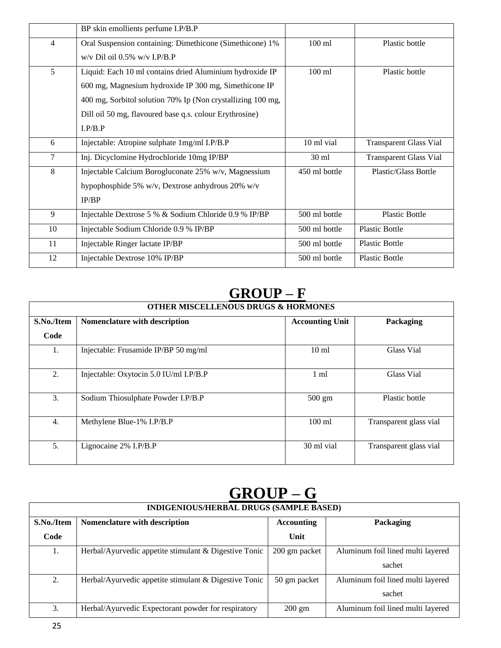|                | BP skin emollients perfume I.P/B.P                          |                 |                               |
|----------------|-------------------------------------------------------------|-----------------|-------------------------------|
| $\overline{4}$ | Oral Suspension containing: Dimethicone (Simethicone) 1%    | $100$ ml        | Plastic bottle                |
|                | $w/v$ Dil oil 0.5% $w/v$ I.P/B.P                            |                 |                               |
| 5              | Liquid: Each 10 ml contains dried Aluminium hydroxide IP    | $100$ ml        | Plastic bottle                |
|                | 600 mg, Magnesium hydroxide IP 300 mg, Simethicone IP       |                 |                               |
|                | 400 mg, Sorbitol solution 70% Ip (Non crystallizing 100 mg, |                 |                               |
|                | Dill oil 50 mg, flavoured base q.s. colour Erythrosine)     |                 |                               |
|                | I.P/B.P                                                     |                 |                               |
| 6              | Injectable: Atropine sulphate 1mg/ml I.P/B.P                | 10 ml vial      | <b>Transparent Glass Vial</b> |
| 7              | Inj. Dicyclomine Hydrochloride 10mg IP/BP                   | $30 \text{ ml}$ | <b>Transparent Glass Vial</b> |
| 8              | Injectable Calcium Borogluconate 25% w/v, Magnessium        | 450 ml bottle   | Plastic/Glass Bottle          |
|                | hypophosphide 5% w/v, Dextrose anhydrous 20% w/v            |                 |                               |
|                | IP/BP                                                       |                 |                               |
| 9              | Injectable Dextrose 5 % & Sodium Chloride 0.9 % IP/BP       | 500 ml bottle   | <b>Plastic Bottle</b>         |
| 10             | Injectable Sodium Chloride 0.9 % IP/BP                      | 500 ml bottle   | <b>Plastic Bottle</b>         |
| 11             | Injectable Ringer lactate IP/BP                             | 500 ml bottle   | <b>Plastic Bottle</b>         |
| 12             | Injectable Dextrose 10% IP/BP                               | 500 ml bottle   | <b>Plastic Bottle</b>         |

# **GROUP – F**

| <b>OTHER MISCELLENOUS DRUGS &amp; HORMONES</b> |                                        |                        |                        |
|------------------------------------------------|----------------------------------------|------------------------|------------------------|
| S.No./Item                                     | Nomenclature with description          | <b>Accounting Unit</b> | Packaging              |
| Code                                           |                                        |                        |                        |
| 1.                                             | Injectable: Frusamide IP/BP 50 mg/ml   | 10 <sub>ml</sub>       | Glass Vial             |
| 2.                                             | Injectable: Oxytocin 5.0 IU/ml I.P/B.P | $1 \text{ ml}$         | Glass Vial             |
| 3.                                             | Sodium Thiosulphate Powder I.P/B.P     | $500 \text{ gm}$       | Plastic bottle         |
| $\overline{4}$ .                               | Methylene Blue-1% I.P/B.P              | $100$ ml               | Transparent glass vial |
| 5.                                             | Lignocaine 2% I.P/B.P                  | 30 ml vial             | Transparent glass vial |

# **GROUP – G**

| <b>INDIGENIOUS/HERBAL DRUGS (SAMPLE BASED)</b> |                                                         |                   |                                   |
|------------------------------------------------|---------------------------------------------------------|-------------------|-----------------------------------|
| S.No./Item                                     | Nomenclature with description                           | <b>Accounting</b> | Packaging                         |
| Code                                           |                                                         | Unit              |                                   |
| 1.                                             | Herbal/Ayurvedic appetite stimulant $&$ Digestive Tonic | 200 gm packet     | Aluminum foil lined multi layered |
|                                                |                                                         |                   | sachet                            |
| 2.                                             | Herbal/Ayurvedic appetite stimulant & Digestive Tonic   | 50 gm packet      | Aluminum foil lined multi layered |
|                                                |                                                         |                   | sachet                            |
| 3.                                             | Herbal/Ayurvedic Expectorant powder for respiratory     | $200 \text{ gm}$  | Aluminum foil lined multi layered |